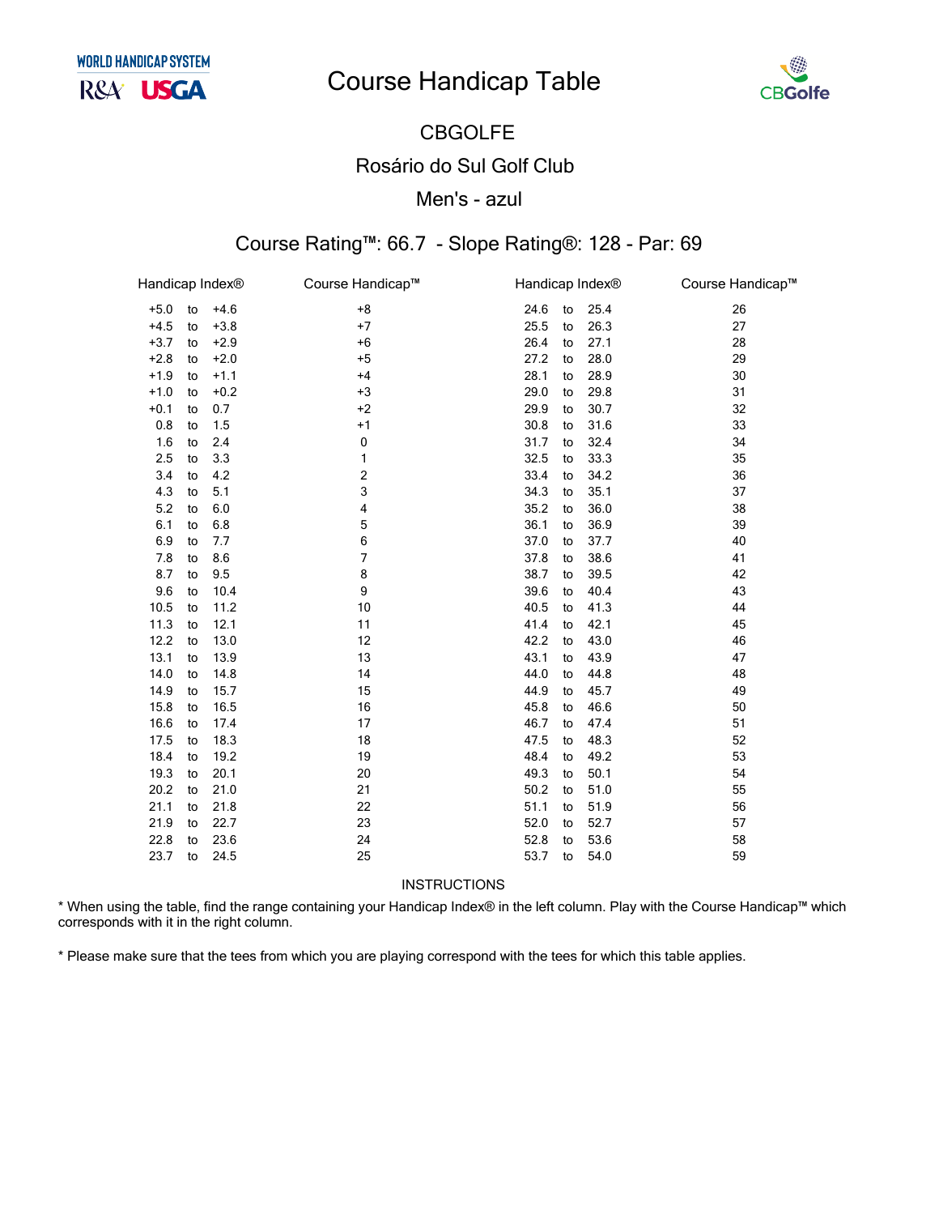# **Course Handicap Table**



### **CBGOLFE Rosário do Sul Golf Club** Men's - azul

#### Course Rating™: 66.7 - Slope Rating®: 128 - Par: 69

| Handicap Index® |    |        | Course Handicap™ |      | Handicap Index® |      | Course Handicap™ |
|-----------------|----|--------|------------------|------|-----------------|------|------------------|
| $+5.0$          | to | $+4.6$ | $+8$             | 24.6 | to              | 25.4 | 26               |
| $+4.5$          | to | $+3.8$ | $+7$             | 25.5 | to              | 26.3 | 27               |
| $+3.7$          | to | $+2.9$ | $+6$             | 26.4 | to              | 27.1 | 28               |
| $+2.8$          | to | $+2.0$ | $+5$             | 27.2 | to              | 28.0 | 29               |
| $+1.9$          | to | $+1.1$ | $+4$             | 28.1 | to              | 28.9 | 30               |
| $+1.0$          | to | $+0.2$ | $+3$             | 29.0 | to              | 29.8 | 31               |
| $+0.1$          | to | 0.7    | $+2$             | 29.9 | to              | 30.7 | 32               |
| 0.8             | to | 1.5    | $+1$             | 30.8 | to              | 31.6 | 33               |
| 1.6             | to | 2.4    | 0                | 31.7 | to              | 32.4 | 34               |
| 2.5             | to | 3.3    | 1                | 32.5 | to              | 33.3 | 35               |
| 3.4             | to | 4.2    | 2                | 33.4 | to              | 34.2 | 36               |
| 4.3             | to | 5.1    | 3                | 34.3 | to              | 35.1 | 37               |
| 5.2             | to | 6.0    | 4                | 35.2 | to              | 36.0 | 38               |
| 6.1             | to | 6.8    | 5                | 36.1 | to              | 36.9 | 39               |
| 6.9             | to | 7.7    | 6                | 37.0 | to              | 37.7 | 40               |
| 7.8             | to | 8.6    | $\overline{7}$   | 37.8 | to              | 38.6 | 41               |
| 8.7             | to | 9.5    | 8                | 38.7 | to              | 39.5 | 42               |
| 9.6             | to | 10.4   | 9                | 39.6 | to              | 40.4 | 43               |
| 10.5            | to | 11.2   | 10               | 40.5 | to              | 41.3 | 44               |
| 11.3            | to | 12.1   | 11               | 41.4 | to              | 42.1 | 45               |
| 12.2            | to | 13.0   | 12               | 42.2 | to              | 43.0 | 46               |
| 13.1            | to | 13.9   | 13               | 43.1 | to              | 43.9 | 47               |
| 14.0            | to | 14.8   | 14               | 44.0 | to              | 44.8 | 48               |
| 14.9            | to | 15.7   | 15               | 44.9 | to              | 45.7 | 49               |
| 15.8            | to | 16.5   | 16               | 45.8 | to              | 46.6 | 50               |
| 16.6            | to | 17.4   | 17               | 46.7 | to              | 47.4 | 51               |
| 17.5            | to | 18.3   | 18               | 47.5 | to              | 48.3 | 52               |
| 18.4            | to | 19.2   | 19               | 48.4 | to              | 49.2 | 53               |
| 19.3            | to | 20.1   | 20               | 49.3 | to              | 50.1 | 54               |
| 20.2            | to | 21.0   | 21               | 50.2 | to              | 51.0 | 55               |
| 21.1            | to | 21.8   | 22               | 51.1 | to              | 51.9 | 56               |
| 21.9            | to | 22.7   | 23               | 52.0 | to              | 52.7 | 57               |
| 22.8            | to | 23.6   | 24               | 52.8 | to              | 53.6 | 58               |
| 23.7            | to | 24.5   | 25               | 53.7 | to              | 54.0 | 59               |

**INSTRUCTIONS** 

\* When using the table, find the range containing your Handicap Index® in the left column. Play with the Course Handicap™ which corresponds with it in the right column.

\* Please make sure that the tees from which you are playing correspond with the tees for which this table applies.